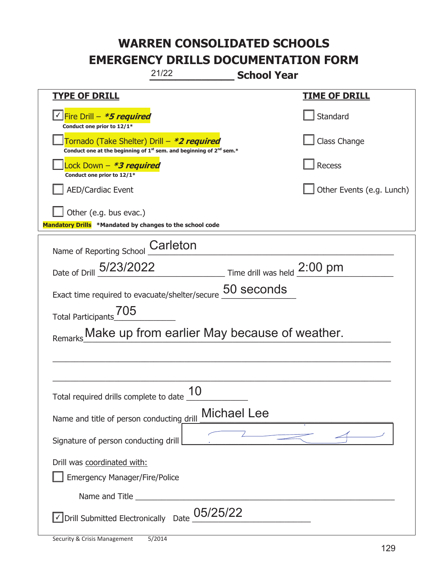| 21/22<br><b>School Year</b>                                                                                                                                                                                                          |                           |  |  |  |
|--------------------------------------------------------------------------------------------------------------------------------------------------------------------------------------------------------------------------------------|---------------------------|--|--|--|
| <b>TYPE OF DRILL</b>                                                                                                                                                                                                                 | <u>TIME OF DRILL</u>      |  |  |  |
| <u>√ Fire Drill – <i>*5 required</i></u><br>Conduct one prior to 12/1*                                                                                                                                                               | Standard                  |  |  |  |
| Tornado (Take Shelter) Drill – *2 required<br>Conduct one at the beginning of $1^{st}$ sem. and beginning of $2^{nd}$ sem.*                                                                                                          | Class Change              |  |  |  |
| Lock Down – <b>*3 required</b><br>Conduct one prior to 12/1*                                                                                                                                                                         | Recess                    |  |  |  |
| <b>AED/Cardiac Event</b>                                                                                                                                                                                                             | Other Events (e.g. Lunch) |  |  |  |
| Other (e.g. bus evac.)<br>Mandatory Drills *Mandated by changes to the school code                                                                                                                                                   |                           |  |  |  |
| Name of Reporting School Carleton                                                                                                                                                                                                    |                           |  |  |  |
| Date of Drill 5/23/2022<br>$\frac{1}{2:00 \text{ pm}}$ Time drill was held $\frac{2:00 \text{ pm}}{}$                                                                                                                                |                           |  |  |  |
| Exact time required to evacuate/shelter/secure 50 seconds                                                                                                                                                                            |                           |  |  |  |
| Total Participants_705                                                                                                                                                                                                               |                           |  |  |  |
| Make up from earlier May because of weather.                                                                                                                                                                                         |                           |  |  |  |
|                                                                                                                                                                                                                                      |                           |  |  |  |
|                                                                                                                                                                                                                                      |                           |  |  |  |
| 10<br>Total required drills complete to date                                                                                                                                                                                         |                           |  |  |  |
| <b>Michael Lee</b><br>Name and title of person conducting drill                                                                                                                                                                      |                           |  |  |  |
| Signature of person conducting drill                                                                                                                                                                                                 |                           |  |  |  |
| Drill was coordinated with:<br><b>Emergency Manager/Fire/Police</b>                                                                                                                                                                  |                           |  |  |  |
| Name and Title <b>contract the contract of the contract of the contract of the contract of the contract of the contract of the contract of the contract of the contract of the contract of the contract of the contract of the c</b> |                           |  |  |  |
| 05/25/22<br>√ Drill Submitted Electronically Date                                                                                                                                                                                    |                           |  |  |  |

T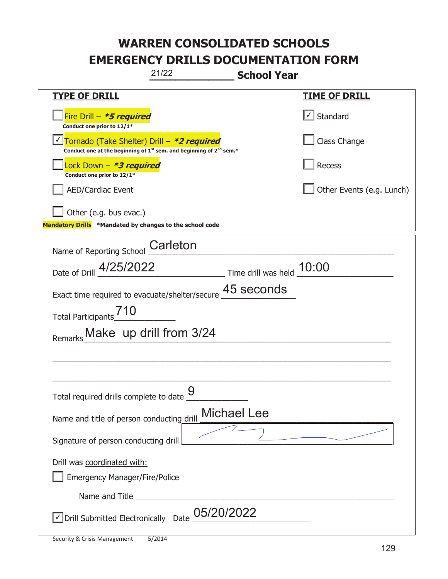| 21/22                                                                                                                                     | <b>School Year</b>        |
|-------------------------------------------------------------------------------------------------------------------------------------------|---------------------------|
| <b>TYPE OF DRILL</b>                                                                                                                      | <u>TIME OF DRILL</u>      |
| Fire Drill $-$ <i>*5 required</i><br>Conduct one prior to 12/1*                                                                           | √ Standard                |
| Tornado (Take Shelter) Drill - *2 required<br>Conduct one at the beginning of 1 <sup>st</sup> sem. and beginning of 2 <sup>nd</sup> sem.* | Class Change              |
| Lock Down – <i>*<b>3 required</b></i><br>Conduct one prior to 12/1*                                                                       | Recess                    |
| <b>AED/Cardiac Event</b>                                                                                                                  | Other Events (e.g. Lunch) |
| Other (e.g. bus evac.)                                                                                                                    |                           |
| Mandatory Drills *Mandated by changes to the school code                                                                                  |                           |
| Name of Reporting School Carleton                                                                                                         |                           |
| $\frac{10:00}{\frac{10}{20}}$ Time drill was held $\frac{10:00}{\frac{10}{20}}$<br>Date of Drill 4/25/2022                                |                           |
| Exact time required to evacuate/shelter/secure                                                                                            | 45 seconds                |
| Total Participants <sup>710</sup>                                                                                                         |                           |
| Make up drill from 3/24<br>Remarks                                                                                                        |                           |
|                                                                                                                                           |                           |
|                                                                                                                                           |                           |
| 9<br>Total required drills complete to date                                                                                               |                           |
| <b>Michael Lee</b><br>Name and title of person conducting drill                                                                           |                           |
| Signature of person conducting drill                                                                                                      |                           |
| Drill was coordinated with:<br><b>Emergency Manager/Fire/Police</b>                                                                       |                           |
|                                                                                                                                           |                           |
| $\boxed{\sqrt}$ Drill Submitted Electronically Date $\underline{\text{05}}$ /20/2022                                                      |                           |

T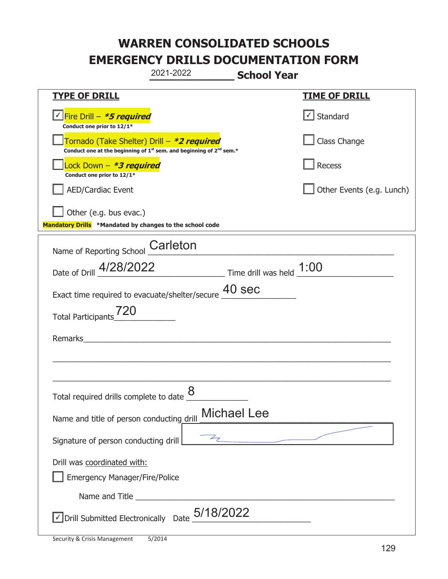|                                                                                    | 2021-2022                                                                                   | <b>School Year</b> |                           |
|------------------------------------------------------------------------------------|---------------------------------------------------------------------------------------------|--------------------|---------------------------|
| <u>TYPE OF DRILL</u>                                                               |                                                                                             |                    | <u>TIME OF DRILL</u>      |
| V Fire Drill - *5 required<br>Conduct one prior to 12/1*                           |                                                                                             |                    | √ Standard                |
| Tornado (Take Shelter) Drill – *2 required                                         | Conduct one at the beginning of 1 <sup>st</sup> sem. and beginning of 2 <sup>nd</sup> sem.* |                    | Class Change              |
| Lock Down - <b>*3 required</b><br>Conduct one prior to 12/1*                       |                                                                                             |                    | Recess                    |
| <b>AED/Cardiac Event</b>                                                           |                                                                                             |                    | Other Events (e.g. Lunch) |
| Other (e.g. bus evac.)<br>Mandatory Drills *Mandated by changes to the school code |                                                                                             |                    |                           |
| Name of Reporting School                                                           | Carleton                                                                                    |                    |                           |
| Date of Drill 4/28/2022 Time drill was held 1:00                                   |                                                                                             |                    |                           |
| Exact time required to evacuate/shelter/secure $\underline{40}$ SeC                |                                                                                             |                    |                           |
| Total Participants <sup>720</sup>                                                  |                                                                                             |                    |                           |
| Remarks                                                                            |                                                                                             |                    |                           |
|                                                                                    |                                                                                             |                    |                           |
| Total required drills complete to date $\frac{8}{4}$                               |                                                                                             |                    |                           |
| Name and title of person conducting drill                                          |                                                                                             | <b>Michael Lee</b> |                           |
| Signature of person conducting drill                                               |                                                                                             | 7                  |                           |
| Drill was coordinated with:<br><b>Emergency Manager/Fire/Police</b>                |                                                                                             |                    |                           |
|                                                                                    |                                                                                             |                    |                           |
| $\sqrt{2}$ Drill Submitted Electronically Date $_2^{5/18/2022}$                    |                                                                                             |                    |                           |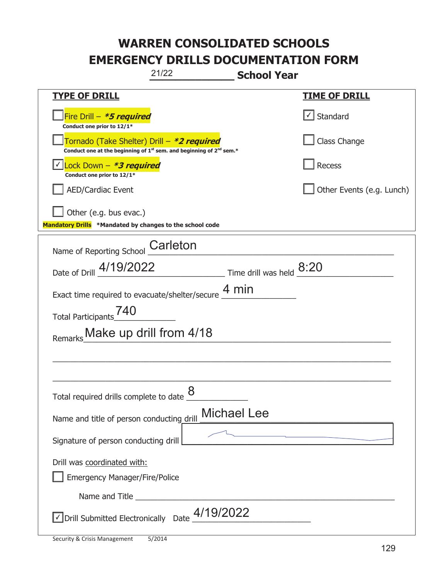| 21/22                                                                                                                       | <b>School Year</b>                                                                                                    |
|-----------------------------------------------------------------------------------------------------------------------------|-----------------------------------------------------------------------------------------------------------------------|
| <b>TYPE OF DRILL</b>                                                                                                        | <b>TIME OF DRILL</b>                                                                                                  |
| Fire Drill - *5 required<br>Conduct one prior to 12/1*                                                                      | √ Standard                                                                                                            |
| Tornado (Take Shelter) Drill – *2 required<br>Conduct one at the beginning of $1^{st}$ sem. and beginning of $2^{nd}$ sem.* | Class Change                                                                                                          |
| Lock Down - *3 required<br>Conduct one prior to 12/1*                                                                       | <b>Recess</b>                                                                                                         |
| <b>AED/Cardiac Event</b>                                                                                                    | Other Events (e.g. Lunch)                                                                                             |
| $\vert$ Other (e.g. bus evac.)<br>Mandatory Drills *Mandated by changes to the school code                                  |                                                                                                                       |
| Name of Reporting School Carleton                                                                                           |                                                                                                                       |
| Date of Drill 4/19/2022                                                                                                     | Time drill was held 8:20                                                                                              |
| Exact time required to evacuate/shelter/secure $4 \text{ min}$                                                              |                                                                                                                       |
| Total Participants <sup>740</sup>                                                                                           |                                                                                                                       |
| Remarks Make up drill from 4/18                                                                                             |                                                                                                                       |
|                                                                                                                             |                                                                                                                       |
|                                                                                                                             |                                                                                                                       |
| Total required drills complete to date $\underline{\mathcal{8}}$                                                            |                                                                                                                       |
| Name and title of person conducting drill                                                                                   | <b>Michael Lee</b>                                                                                                    |
| Signature of person conducting drill                                                                                        | <u> 1980 - Johann Johann Stoff, deutscher Stoffen und der Stoffen und der Stoffen und der Stoffen und der Stoffen</u> |
| Drill was coordinated with:                                                                                                 |                                                                                                                       |
| <b>Emergency Manager/Fire/Police</b>                                                                                        |                                                                                                                       |
|                                                                                                                             |                                                                                                                       |
| √Drill Submitted Electronically Date 4/19/2022                                                                              |                                                                                                                       |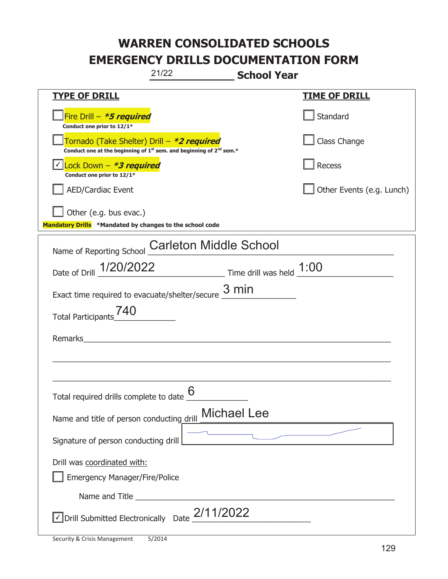|                                                                                    | 21/22                                                                                       | <b>School Year</b>                                                  |                           |
|------------------------------------------------------------------------------------|---------------------------------------------------------------------------------------------|---------------------------------------------------------------------|---------------------------|
| <b>TYPE OF DRILL</b>                                                               |                                                                                             |                                                                     | <u>TIME OF DRILL</u>      |
| Fire Drill - *5 required<br>Conduct one prior to 12/1*                             |                                                                                             |                                                                     | Standard                  |
| Tornado (Take Shelter) Drill – *2 required                                         | Conduct one at the beginning of 1 <sup>st</sup> sem. and beginning of 2 <sup>nd</sup> sem.* |                                                                     | Class Change              |
| Lock Down - *3 required<br>Conduct one prior to 12/1*                              |                                                                                             |                                                                     | <b>Recess</b>             |
| <b>AED/Cardiac Event</b>                                                           |                                                                                             |                                                                     | Other Events (e.g. Lunch) |
| Other (e.g. bus evac.)<br>Mandatory Drills *Mandated by changes to the school code |                                                                                             |                                                                     |                           |
| Name of Reporting School                                                           | <b>Carleton Middle School</b>                                                               |                                                                     |                           |
| Date of Drill 1/20/2022                                                            |                                                                                             | $\frac{1:00}{\sqrt{1}}$ Time drill was held $\frac{1:00}{\sqrt{1}}$ |                           |
| Exact time required to evacuate/shelter/secure                                     |                                                                                             | 3 min                                                               |                           |
| <b>Total Participants</b>                                                          |                                                                                             |                                                                     |                           |
| Remarks                                                                            |                                                                                             |                                                                     |                           |
|                                                                                    |                                                                                             |                                                                     |                           |
| Total required drills complete to date $6$                                         |                                                                                             |                                                                     |                           |
| Name and title of person conducting drill                                          |                                                                                             | <b>Michael Lee</b>                                                  |                           |
| Signature of person conducting drill                                               |                                                                                             |                                                                     |                           |
| Drill was coordinated with:<br><b>Emergency Manager/Fire/Police</b>                |                                                                                             |                                                                     |                           |
|                                                                                    |                                                                                             |                                                                     |                           |
| √ Drill Submitted Electronically Date 2/11/2022                                    |                                                                                             |                                                                     |                           |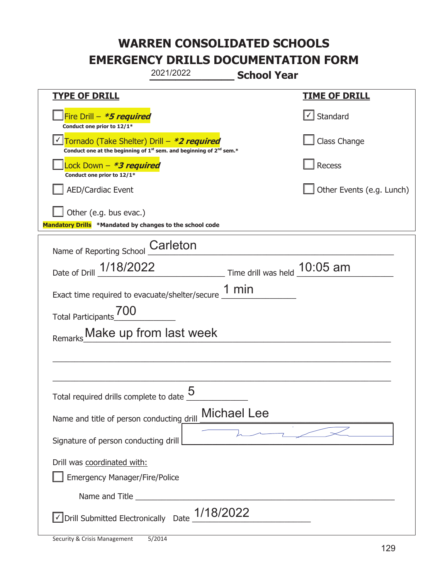|                                                                                                                                           | 2021/2022              | <b>School Year</b>             |                               |
|-------------------------------------------------------------------------------------------------------------------------------------------|------------------------|--------------------------------|-------------------------------|
| <b>TYPE OF DRILL</b>                                                                                                                      |                        |                                | <b>TIME OF DRILL</b>          |
| Fire Drill - *5 required<br>Conduct one prior to 12/1*                                                                                    |                        |                                | $\sqrt{\phantom{a}}$ Standard |
| Tornado (Take Shelter) Drill – *2 required<br>Conduct one at the beginning of 1 <sup>st</sup> sem. and beginning of 2 <sup>nd</sup> sem.* |                        |                                | Class Change                  |
| ock Down – <b>*3 required</b><br>Conduct one prior to 12/1*                                                                               |                        |                                | Recess                        |
| <b>AED/Cardiac Event</b>                                                                                                                  |                        |                                | Other Events (e.g. Lunch)     |
| Other (e.g. bus evac.)<br>Mandatory Drills *Mandated by changes to the school code                                                        |                        |                                |                               |
| Name of Reporting School                                                                                                                  | Carleton               |                                |                               |
| Date of Drill 1/18/2022                                                                                                                   |                        | Time drill was held $10:05$ am |                               |
| Exact time required to evacuate/shelter/secure $\underline{1}$ min                                                                        |                        |                                |                               |
| 700<br><b>Total Participants</b>                                                                                                          |                        |                                |                               |
| Remarks                                                                                                                                   | Make up from last week |                                |                               |
|                                                                                                                                           |                        |                                |                               |
|                                                                                                                                           |                        |                                |                               |
| Total required drills complete to date $\frac{0}{2}$                                                                                      | <u> Қ</u>              |                                |                               |
| Name and title of person conducting drill                                                                                                 |                        | <b>Michael Lee</b>             |                               |
| Signature of person conducting drill                                                                                                      |                        |                                |                               |
| Drill was coordinated with:<br><b>Emergency Manager/Fire/Police</b>                                                                       |                        |                                |                               |
|                                                                                                                                           |                        |                                |                               |
| √ Drill Submitted Electronically Date                                                                                                     | 1/18/2022              |                                |                               |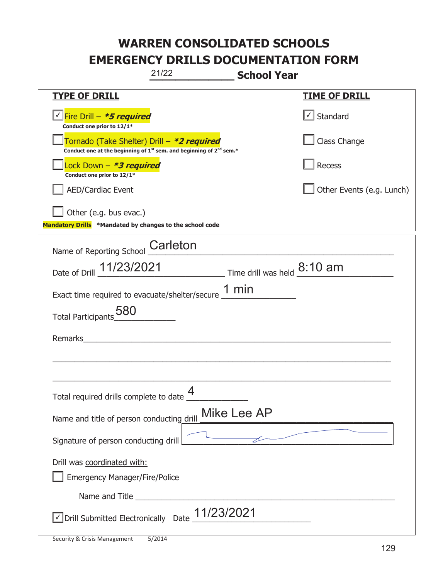| 21/22                                                                                                                                     | <b>School Year</b>        |
|-------------------------------------------------------------------------------------------------------------------------------------------|---------------------------|
| <b>TYPE OF DRILL</b>                                                                                                                      | <u>TIME OF DRILL</u>      |
| V Fire Drill - *5 required<br>Conduct one prior to 12/1*                                                                                  | $\cup$ Standard           |
| Tornado (Take Shelter) Drill – *2 required<br>Conduct one at the beginning of 1 <sup>st</sup> sem. and beginning of 2 <sup>nd</sup> sem.* | Class Change              |
| Lock Down – <i>*<b>3 required</b></i><br>Conduct one prior to 12/1*                                                                       | Recess                    |
| <b>AED/Cardiac Event</b>                                                                                                                  | Other Events (e.g. Lunch) |
| Other (e.g. bus evac.)<br>Mandatory Drills *Mandated by changes to the school code                                                        |                           |
| Name of Reporting School Carleton                                                                                                         |                           |
| Date of Drill 11/23/2021 Time drill was held 8:10 am                                                                                      |                           |
| Exact time required to evacuate/shelter/secure $\underline{1}$ min                                                                        |                           |
| Total Participants 580                                                                                                                    |                           |
| Remarks                                                                                                                                   |                           |
|                                                                                                                                           |                           |
| Total required drills complete to date $\frac{4}{1}$                                                                                      |                           |
| Name and title of person conducting drill                                                                                                 | Mike Lee AP               |
| Signature of person conducting drill                                                                                                      |                           |
| Drill was coordinated with:<br><b>Emergency Manager/Fire/Police</b>                                                                       |                           |
|                                                                                                                                           |                           |
| $\vee$ Drill Submitted Electronically Date $\_$ 11/23/2021                                                                                |                           |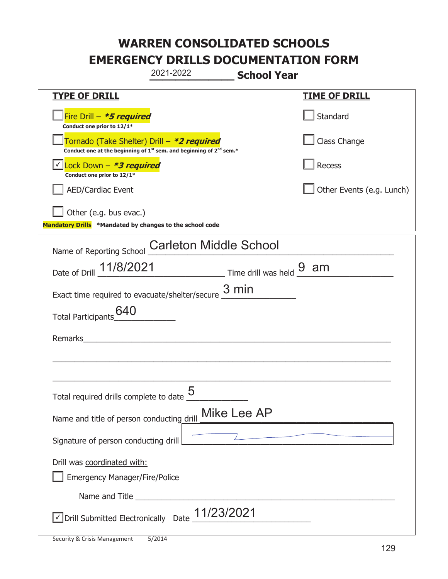|                                                                                    | 2021-2022                                                                                   | <b>School Year</b> |                           |
|------------------------------------------------------------------------------------|---------------------------------------------------------------------------------------------|--------------------|---------------------------|
| <b>TYPE OF DRILL</b>                                                               |                                                                                             |                    | <b>TIME OF DRILL</b>      |
| Fire Drill - *5 required<br>Conduct one prior to 12/1*                             |                                                                                             |                    | Standard                  |
| Tornado (Take Shelter) Drill – *2 required                                         | Conduct one at the beginning of 1 <sup>st</sup> sem. and beginning of 2 <sup>nd</sup> sem.* |                    | Class Change              |
| Lock Down - *3 required<br>Conduct one prior to 12/1*                              |                                                                                             |                    | Recess                    |
| <b>AED/Cardiac Event</b>                                                           |                                                                                             |                    | Other Events (e.g. Lunch) |
| Other (e.g. bus evac.)<br>Mandatory Drills *Mandated by changes to the school code |                                                                                             |                    |                           |
| Name of Reporting School                                                           | <b>Carleton Middle School</b>                                                               |                    |                           |
| Date of Drill _ 11/8/2021                                                          | $\frac{1}{\sqrt{2}}$ Time drill was held $\frac{9}{\sqrt{2}}$ am                            |                    |                           |
| Exact time required to evacuate/shelter/secure $\frac{3 \text{ min}}{2}$           |                                                                                             |                    |                           |
| 640<br><b>Total Participants</b>                                                   |                                                                                             |                    |                           |
| Remarks                                                                            |                                                                                             |                    |                           |
|                                                                                    |                                                                                             |                    |                           |
| Total required drills complete to date $\frac{5}{4}$                               |                                                                                             |                    |                           |
| Name and title of person conducting drill                                          |                                                                                             | Mike Lee AP        |                           |
| Signature of person conducting drill                                               |                                                                                             |                    |                           |
| Drill was coordinated with:<br><b>Emergency Manager/Fire/Police</b>                |                                                                                             |                    |                           |
|                                                                                    |                                                                                             |                    |                           |
| √ Drill Submitted Electronically Date                                              | 11/23/2021                                                                                  |                    |                           |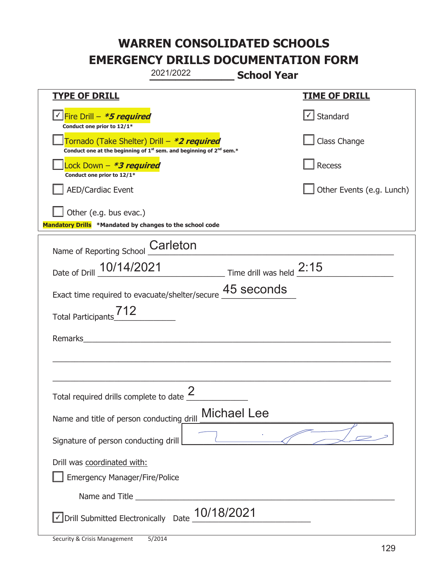|                                                                                    | 2021/2022                                                                                                                                 | <b>School Year</b> |                           |
|------------------------------------------------------------------------------------|-------------------------------------------------------------------------------------------------------------------------------------------|--------------------|---------------------------|
| <b>TYPE OF DRILL</b>                                                               |                                                                                                                                           |                    | <b>TIME OF DRILL</b>      |
| Fire Drill - *5 required<br>Conduct one prior to 12/1*                             |                                                                                                                                           |                    | √ Standard                |
|                                                                                    | Tornado (Take Shelter) Drill – *2 required<br>Conduct one at the beginning of 1 <sup>st</sup> sem. and beginning of 2 <sup>nd</sup> sem.* |                    | Class Change              |
| Lock Down - <b><i>*3 required</i></b><br>Conduct one prior to 12/1*                |                                                                                                                                           |                    | Recess                    |
| <b>AED/Cardiac Event</b>                                                           |                                                                                                                                           |                    | Other Events (e.g. Lunch) |
| Other (e.g. bus evac.)<br>Mandatory Drills *Mandated by changes to the school code |                                                                                                                                           |                    |                           |
| Name of Reporting School                                                           | Carleton                                                                                                                                  |                    |                           |
|                                                                                    | Date of Drill 10/14/2021 Time drill was held 2:15                                                                                         |                    |                           |
|                                                                                    | Exact time required to evacuate/shelter/secure 45 seconds                                                                                 |                    |                           |
| 712<br><b>Total Participants</b>                                                   |                                                                                                                                           |                    |                           |
| Remarks                                                                            |                                                                                                                                           |                    |                           |
|                                                                                    |                                                                                                                                           |                    |                           |
| Total required drills complete to date $\frac{2}{3}$                               |                                                                                                                                           |                    |                           |
| Name and title of person conducting drill                                          |                                                                                                                                           | <b>Michael Lee</b> |                           |
| Signature of person conducting drill                                               |                                                                                                                                           |                    |                           |
| Drill was coordinated with:<br><b>Emergency Manager/Fire/Police</b>                |                                                                                                                                           |                    |                           |
|                                                                                    |                                                                                                                                           |                    |                           |
| √ Drill Submitted Electronically Date                                              |                                                                                                                                           | 10/18/2021         |                           |